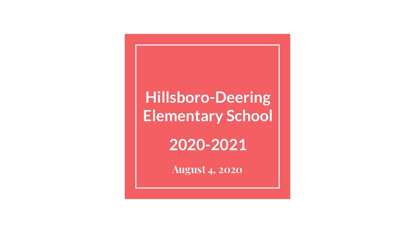## **Hillsboro-Deering Elementary School**

**2020-2021**

**August 4, 2020**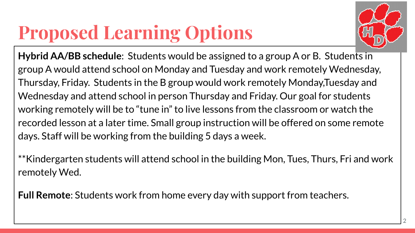## **Proposed Learning Options**



**Hybrid AA/BB schedule**: Students would be assigned to a group A or B. Students in group A would attend school on Monday and Tuesday and work remotely Wednesday, Thursday, Friday. Students in the B group would work remotely Monday,Tuesday and Wednesday and attend school in person Thursday and Friday. Our goal for students working remotely will be to "tune in" to live lessons from the classroom or watch the recorded lesson at a later time. Small group instruction will be offered on some remote days. Staff will be working from the building 5 days a week.

\*\*Kindergarten students will attend school in the building Mon, Tues, Thurs, Fri and work remotely Wed.

**Full Remote**: Students work from home every day with support from teachers.